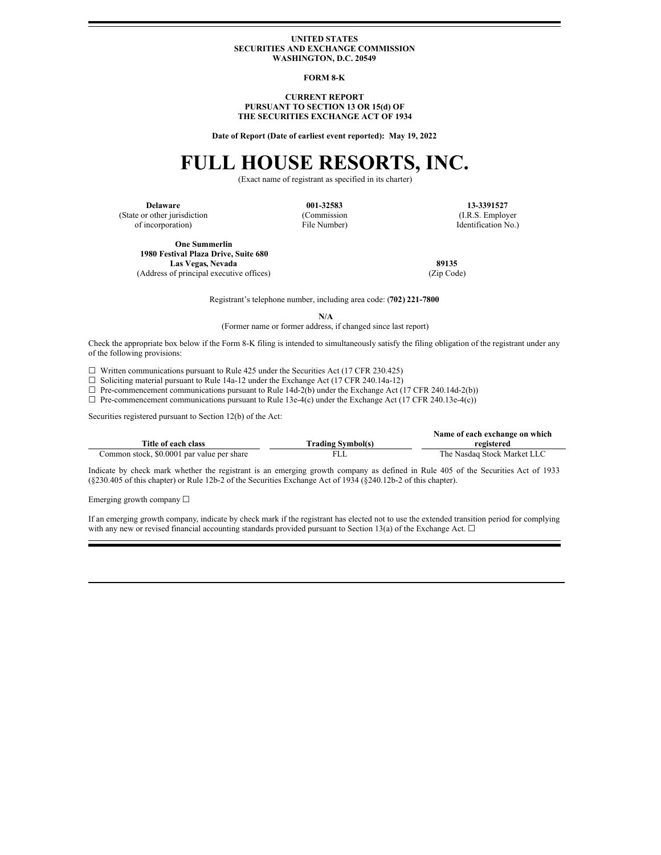#### **UNITED STATES SECURITIES AND EXCHANGE COMMISSION WASHINGTON, D.C. 20549**

#### **FORM 8-K**

#### **CURRENT REPORT PURSUANT TO SECTION 13 OR 15(d) OF THE SECURITIES EXCHANGE ACT OF 1934**

**Date of Report (Date of earliest event reported): May 19, 2022**

# **FULL HOUSE RESORTS, INC.**

(Exact name of registrant as specified in its charter)

(State or other jurisdiction of incorporation)

(Commission File Number)

**Delaware 001-32583 13-3391527** (I.R.S. Employer Identification No.)

**One Summerlin 1980 Festival Plaza Drive, Suite 680 Las Vegas, Nevada 89135**<br>of principal executive offices) (Zip Code) **89135** (Address of principal executive offices)

Registrant's telephone number, including area code: (**702) 221-7800**

**N/A**

(Former name or former address, if changed since last report)

Check the appropriate box below if the Form 8-K filing is intended to simultaneously satisfy the filing obligation of the registrant under any of the following provisions:

 $\Box$  Written communications pursuant to Rule 425 under the Securities Act (17 CFR 230.425)

☐ Soliciting material pursuant to Rule 14a-12 under the Exchange Act (17 CFR 240.14a-12)

 $\Box$  Pre-commencement communications pursuant to Rule 14d-2(b) under the Exchange Act (17 CFR 240.14d-2(b))

☐ Pre-commencement communications pursuant to Rule 13e-4(c) under the Exchange Act (17 CFR 240.13e-4(c))

Securities registered pursuant to Section 12(b) of the Act:

|                                            | Name of each exchange on which |                             |
|--------------------------------------------|--------------------------------|-----------------------------|
| Title of each class                        | <b>Trading Symbol(s)</b>       | registered                  |
| Common stock, \$0.0001 par value per share | FLL                            | The Nasdaq Stock Market LLC |

Indicate by check mark whether the registrant is an emerging growth company as defined in Rule 405 of the Securities Act of 1933 (§230.405 of this chapter) or Rule 12b-2 of the Securities Exchange Act of 1934 (§240.12b-2 of this chapter).

Emerging growth company ☐

If an emerging growth company, indicate by check mark if the registrant has elected not to use the extended transition period for complying with any new or revised financial accounting standards provided pursuant to Section 13(a) of the Exchange Act. □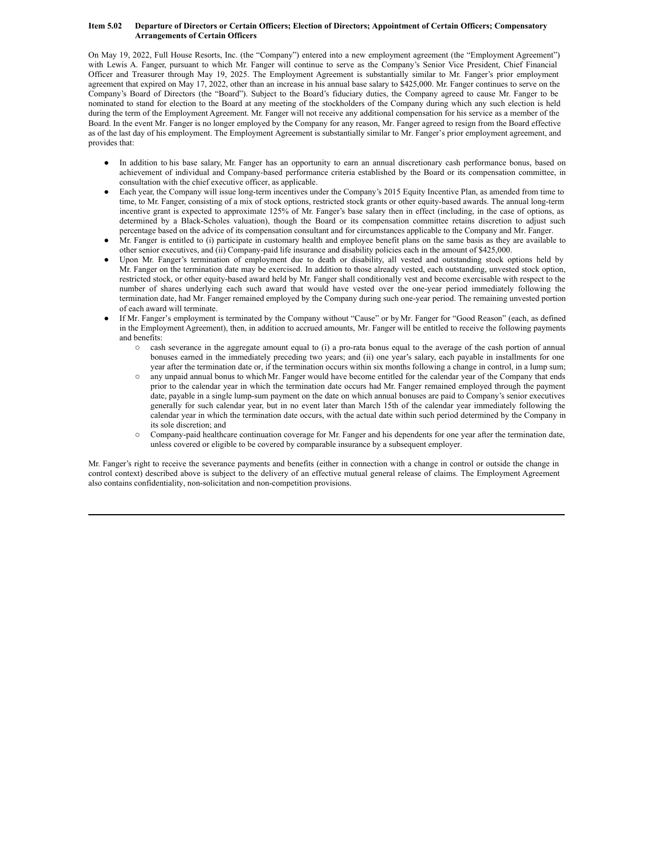#### Item 5.02 Departure of Directors or Certain Officers; Election of Directors; Appointment of Certain Officers; Compensatory **Arrangements of Certain Officers**

On May 19, 2022, Full House Resorts, Inc. (the "Company") entered into a new employment agreement (the "Employment Agreement") with Lewis A. Fanger, pursuant to which Mr. Fanger will continue to serve as the Company's Senior Vice President, Chief Financial Officer and Treasurer through May 19, 2025. The Employment Agreement is substantially similar to Mr. Fanger's prior employment agreement that expired on May 17, 2022, other than an increase in his annual base salary to \$425,000. Mr. Fanger continues to serve on the Company's Board of Directors (the "Board"). Subject to the Board's fiduciary duties, the Company agreed to cause Mr. Fanger to be nominated to stand for election to the Board at any meeting of the stockholders of the Company during which any such election is held during the term of the Employment Agreement. Mr. Fanger will not receive any additional compensation for his service as a member of the Board. In the event Mr. Fanger is no longer employed by the Company for any reason, Mr. Fanger agreed to resign from the Board effective as of the last day of his employment. The Employment Agreement is substantially similar to Mr. Fanger's prior employment agreement, and provides that:

- In addition to his base salary, Mr. Fanger has an opportunity to earn an annual discretionary cash performance bonus, based on achievement of individual and Company-based performance criteria established by the Board or its compensation committee, in consultation with the chief executive officer, as applicable.
- Each year, the Company will issue long-term incentives under the Company's 2015 Equity Incentive Plan, as amended from time to time, to Mr. Fanger, consisting of a mix of stock options, restricted stock grants or other equity-based awards. The annual long-term incentive grant is expected to approximate 125% of Mr. Fanger's base salary then in effect (including, in the case of options, as determined by a Black-Scholes valuation), though the Board or its compensation committee retains discretion to adjust such percentage based on the advice of its compensation consultant and for circumstances applicable to the Company and Mr. Fanger.
- Mr. Fanger is entitled to (i) participate in customary health and employee benefit plans on the same basis as they are available to other senior executives, and (ii) Company-paid life insurance and disability policies each in the amount of \$425,000.
- Upon Mr. Fanger's termination of employment due to death or disability, all vested and outstanding stock options held by Mr. Fanger on the termination date may be exercised. In addition to those already vested, each outstanding, unvested stock option, restricted stock, or other equity-based award held by Mr. Fanger shall conditionally vest and become exercisable with respect to the number of shares underlying each such award that would have vested over the one-year period immediately following the termination date, had Mr. Fanger remained employed by the Company during such one-year period. The remaining unvested portion of each award will terminate.
- If Mr. Fanger's employment is terminated by the Company without "Cause" or by Mr. Fanger for "Good Reason" (each, as defined in the Employment Agreement), then, in addition to accrued amounts, Mr. Fanger will be entitled to receive the following payments and benefits:
	- cash severance in the aggregate amount equal to (i) a pro-rata bonus equal to the average of the cash portion of annual bonuses earned in the immediately preceding two years; and (ii) one year's salary, each payable in installments for one year after the termination date or, if the termination occurs within six months following a change in control, in a lump sum;
	- o any unpaid annual bonus to which Mr. Fanger would have become entitled for the calendar year of the Company that ends prior to the calendar year in which the termination date occurs had Mr. Fanger remained employed through the payment date, payable in a single lump-sum payment on the date on which annual bonuses are paid to Company's senior executives generally for such calendar year, but in no event later than March 15th of the calendar year immediately following the calendar year in which the termination date occurs, with the actual date within such period determined by the Company in its sole discretion; and
	- o Company-paid healthcare continuation coverage for Mr. Fanger and his dependents for one year after the termination date, unless covered or eligible to be covered by comparable insurance by a subsequent employer.

Mr. Fanger's right to receive the severance payments and benefits (either in connection with a change in control or outside the change in control context) described above is subject to the delivery of an effective mutual general release of claims. The Employment Agreement also contains confidentiality, non-solicitation and non-competition provisions.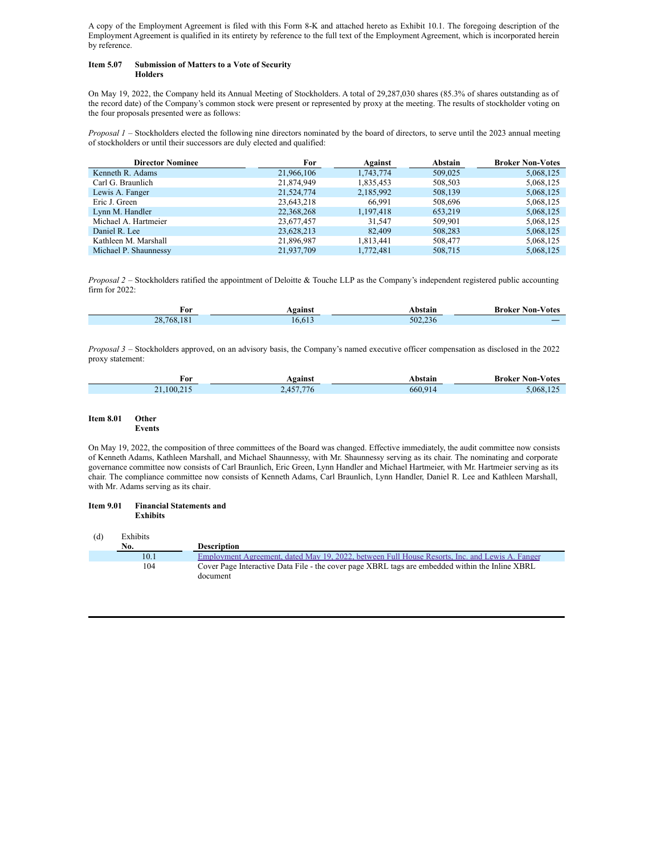A copy of the Employment Agreement is filed with this Form 8-K and attached hereto as Exhibit 10.1. The foregoing description of the Employment Agreement is qualified in its entirety by reference to the full text of the Employment Agreement, which is incorporated herein by reference.

#### **Item 5.07 Submission of Matters to a Vote of Security Holders**

On May 19, 2022, the Company held its Annual Meeting of Stockholders. A total of 29,287,030 shares (85.3% of shares outstanding as of the record date) of the Company's common stock were present or represented by proxy at the meeting. The results of stockholder voting on the four proposals presented were as follows:

*Proposal 1* – Stockholders elected the following nine directors nominated by the board of directors, to serve until the 2023 annual meeting of stockholders or until their successors are duly elected and qualified:

| <b>Director Nominee</b> | For        | Against   | Abstain | <b>Broker Non-Votes</b> |
|-------------------------|------------|-----------|---------|-------------------------|
| Kenneth R. Adams        | 21,966,106 | 1,743,774 | 509,025 | 5,068,125               |
| Carl G. Braunlich       | 21,874,949 | 1,835,453 | 508,503 | 5,068,125               |
| Lewis A. Fanger         | 21,524,774 | 2,185,992 | 508,139 | 5,068,125               |
| Eric J. Green           | 23,643,218 | 66.991    | 508,696 | 5,068,125               |
| Lynn M. Handler         | 22,368,268 | 1,197,418 | 653.219 | 5,068,125               |
| Michael A. Hartmeier    | 23,677,457 | 31.547    | 509,901 | 5,068,125               |
| Daniel R. Lee           | 23,628,213 | 82,409    | 508,283 | 5,068,125               |
| Kathleen M. Marshall    | 21,896,987 | 1,813,441 | 508,477 | 5,068,125               |
| Michael P. Shaunnessy   | 21.937.709 | 1.772.481 | 508.715 | 5.068.125               |

*Proposal 2* – Stockholders ratified the appointment of Deloitte & Touche LLP as the Company's independent registered public accounting firm for 2022:

| For                       | aginci<br> | hetoir  | Non-<br>⁄ otes<br>Broker |
|---------------------------|------------|---------|--------------------------|
| 18<br>י הר<br>768.<br>20. | h          | 502.236 |                          |

*Proposal 3* – Stockholders approved, on an advisory basis, the Company's named executive officer compensation as disclosed in the 2022 proxy statement:

| For    | .gainst                      | hstain  | <b>Broker Non-Votes</b> |
|--------|------------------------------|---------|-------------------------|
| 100.21 | $- -$<br>$\cdots$<br>.<br>-- | 660.91' | 068                     |

#### **Item 8.01 Other Events**

On May 19, 2022, the composition of three committees of the Board was changed. Effective immediately, the audit committee now consists of Kenneth Adams, Kathleen Marshall, and Michael Shaunnessy, with Mr. Shaunnessy serving as its chair. The nominating and corporate governance committee now consists of Carl Braunlich, Eric Green, Lynn Handler and Michael Hartmeier, with Mr. Hartmeier serving as its chair. The compliance committee now consists of Kenneth Adams, Carl Braunlich, Lynn Handler, Daniel R. Lee and Kathleen Marshall, with Mr. Adams serving as its chair.

#### **Item 9.01 Financial Statements and Exhibits**

| (d) | Exhibits |                                                                                                             |
|-----|----------|-------------------------------------------------------------------------------------------------------------|
|     | No.      | <b>Description</b>                                                                                          |
|     | 10.1     | Employment Agreement, dated May 19, 2022, between Full House Resorts, Inc. and Lewis A. Fanger              |
|     | 104      | Cover Page Interactive Data File - the cover page XBRL tags are embedded within the Inline XBRL<br>document |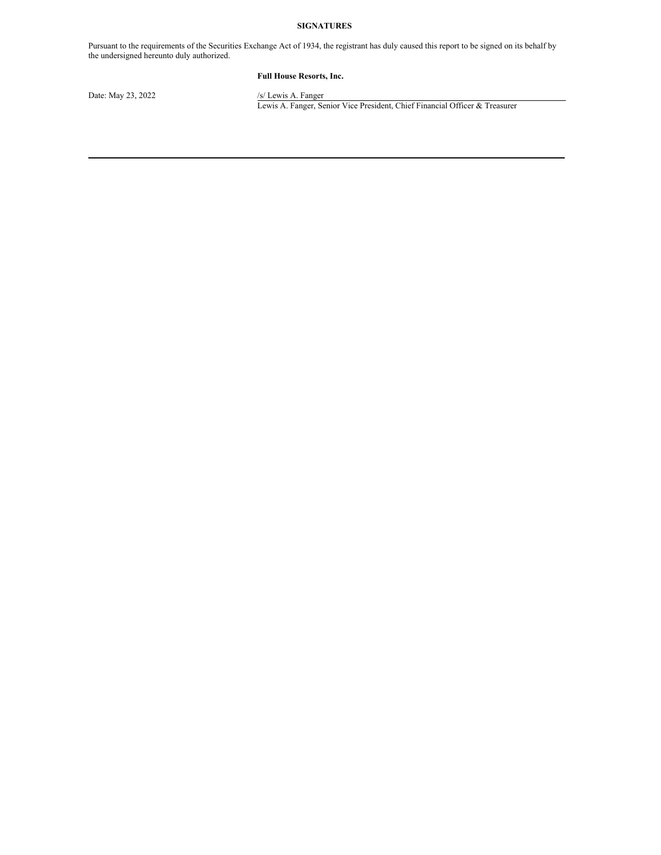# **SIGNATURES**

Pursuant to the requirements of the Securities Exchange Act of 1934, the registrant has duly caused this report to be signed on its behalf by the undersigned hereunto duly authorized.

# **Full House Resorts, Inc.**

Date: May 23, 2022 /s/ Lewis A. Fanger

Lewis A. Fanger, Senior Vice President, Chief Financial Officer & Treasurer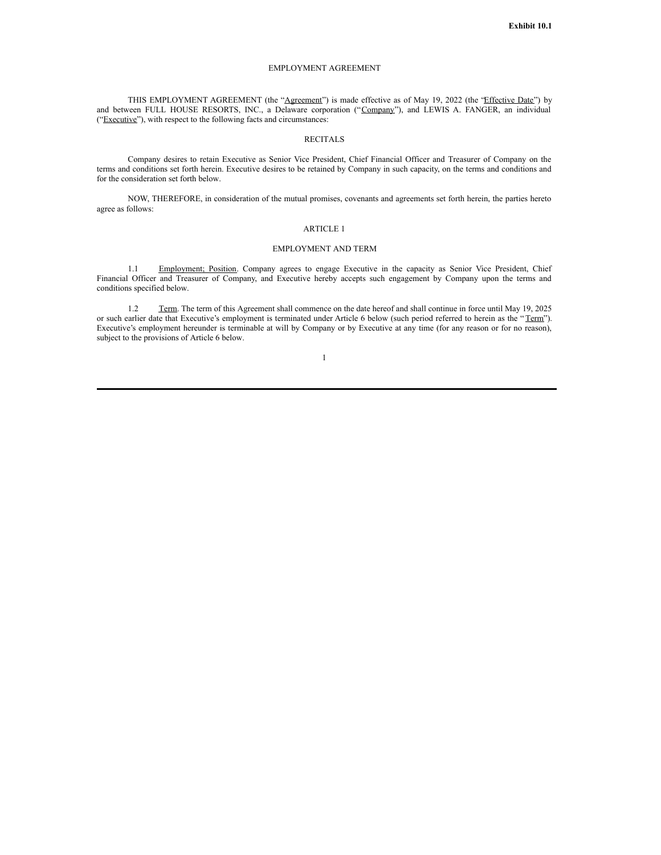#### EMPLOYMENT AGREEMENT

THIS EMPLOYMENT AGREEMENT (the "Agreement") is made effective as of May 19, 2022 (the 'Effective Date'') by and between FULL HOUSE RESORTS, INC., a Delaware corporation ("Company"), and LEWIS A. FANGER, an individual ("Executive"), with respect to the following facts and circumstances:

#### RECITALS

Company desires to retain Executive as Senior Vice President, Chief Financial Officer and Treasurer of Company on the terms and conditions set forth herein. Executive desires to be retained by Company in such capacity, on the terms and conditions and for the consideration set forth below.

NOW, THEREFORE, in consideration of the mutual promises, covenants and agreements set forth herein, the parties hereto agree as follows:

#### ARTICLE 1

# EMPLOYMENT AND TERM

1.1 Employment; Position. Company agrees to engage Executive in the capacity as Senior Vice President, Chief Financial Officer and Treasurer of Company, and Executive hereby accepts such engagement by Company upon the terms and conditions specified below.

1.2 Term. The term of this Agreement shall commence on the date hereof and shall continue in force until May 19, 2025 or such earlier date that Executive's employment is terminated under Article 6 below (such period referred to herein as the "Term"). Executive's employment hereunder is terminable at will by Company or by Executive at any time (for any reason or for no reason), subject to the provisions of Article 6 below.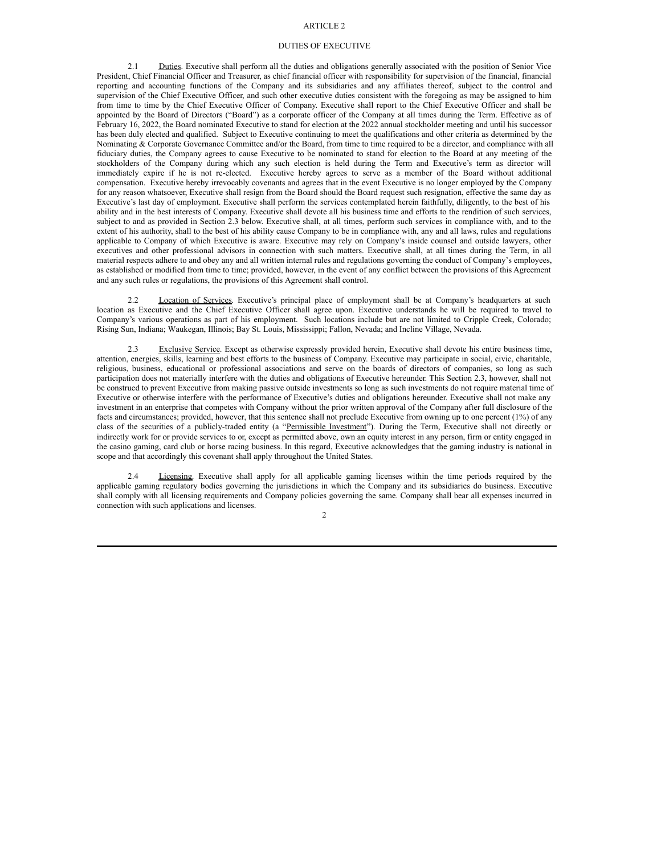## ARTICLE 2

#### DUTIES OF EXECUTIVE

2.1 Duties. Executive shall perform all the duties and obligations generally associated with the position of Senior Vice President, Chief Financial Officer and Treasurer, as chief financial officer with responsibility for supervision of the financial, financial reporting and accounting functions of the Company and its subsidiaries and any affiliates thereof, subject to the control and supervision of the Chief Executive Officer, and such other executive duties consistent with the foregoing as may be assigned to him from time to time by the Chief Executive Officer of Company. Executive shall report to the Chief Executive Officer and shall be appointed by the Board of Directors ("Board") as a corporate officer of the Company at all times during the Term. Effective as of February 16, 2022, the Board nominated Executive to stand for election at the 2022 annual stockholder meeting and until his successor has been duly elected and qualified. Subject to Executive continuing to meet the qualifications and other criteria as determined by the Nominating & Corporate Governance Committee and/or the Board, from time to time required to be a director, and compliance with all fiduciary duties, the Company agrees to cause Executive to be nominated to stand for election to the Board at any meeting of the stockholders of the Company during which any such election is held during the Term and Executive's term as director will immediately expire if he is not re-elected. Executive hereby agrees to serve as a member of the Board without additional compensation. Executive hereby irrevocably covenants and agrees that in the event Executive is no longer employed by the Company for any reason whatsoever, Executive shall resign from the Board should the Board request such resignation, effective the same day as Executive's last day of employment. Executive shall perform the services contemplated herein faithfully, diligently, to the best of his ability and in the best interests of Company. Executive shall devote all his business time and efforts to the rendition of such services, subject to and as provided in Section 2.3 below. Executive shall, at all times, perform such services in compliance with, and to the extent of his authority, shall to the best of his ability cause Company to be in compliance with, any and all laws, rules and regulations applicable to Company of which Executive is aware. Executive may rely on Company's inside counsel and outside lawyers, other executives and other professional advisors in connection with such matters. Executive shall, at all times during the Term, in all material respects adhere to and obey any and all written internal rules and regulations governing the conduct of Company's employees, as established or modified from time to time; provided, however, in the event of any conflict between the provisions of this Agreement and any such rules or regulations, the provisions of this Agreement shall control.

2.2 Location of Services. Executive's principal place of employment shall be at Company's headquarters at such location as Executive and the Chief Executive Officer shall agree upon. Executive understands he will be required to travel to Company's various operations as part of his employment. Such locations include but are not limited to Cripple Creek, Colorado; Rising Sun, Indiana; Waukegan, Illinois; Bay St. Louis, Mississippi; Fallon, Nevada; and Incline Village, Nevada.

2.3 Exclusive Service. Except as otherwise expressly provided herein, Executive shall devote his entire business time, attention, energies, skills, learning and best efforts to the business of Company. Executive may participate in social, civic, charitable, religious, business, educational or professional associations and serve on the boards of directors of companies, so long as such participation does not materially interfere with the duties and obligations of Executive hereunder. This Section 2.3, however, shall not be construed to prevent Executive from making passive outside investments so long as such investments do not require material time of Executive or otherwise interfere with the performance of Executive's duties and obligations hereunder. Executive shall not make any investment in an enterprise that competes with Company without the prior written approval of the Company after full disclosure of the facts and circumstances; provided, however, that this sentence shall not preclude Executive from owning up to one percent (1%) of any class of the securities of a publicly-traded entity (a "Permissible Investment"). During the Term, Executive shall not directly or indirectly work for or provide services to or, except as permitted above, own an equity interest in any person, firm or entity engaged in the casino gaming, card club or horse racing business. In this regard, Executive acknowledges that the gaming industry is national in scope and that accordingly this covenant shall apply throughout the United States.

Licensing. Executive shall apply for all applicable gaming licenses within the time periods required by the applicable gaming regulatory bodies governing the jurisdictions in which the Company and its subsidiaries do business. Executive shall comply with all licensing requirements and Company policies governing the same. Company shall bear all expenses incurred in connection with such applications and licenses.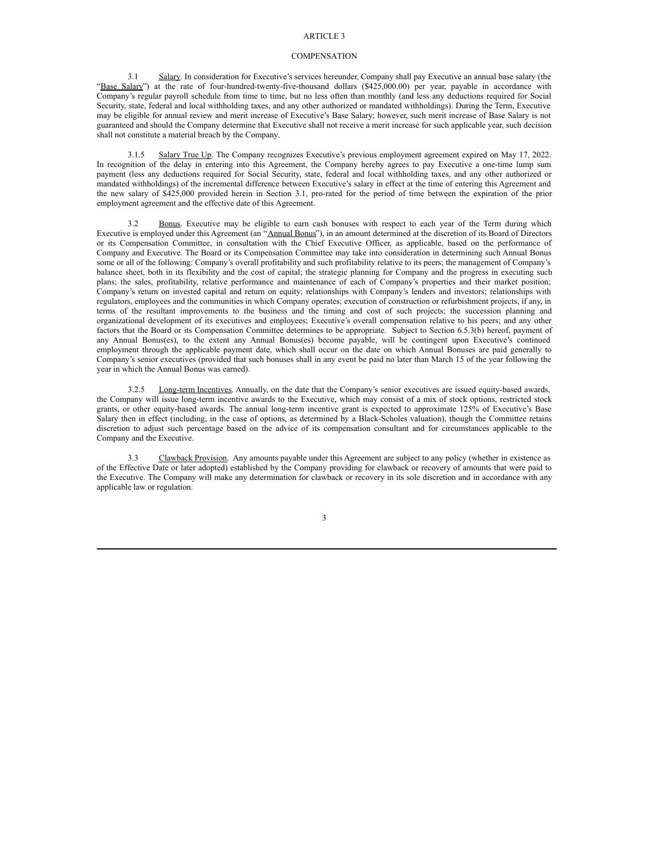#### ARTICLE<sub>3</sub>

### **COMPENSATION**

3.1 Salary. In consideration for Executive's services hereunder, Company shall pay Executive an annual base salary (the "Base Salary") at the rate of four-hundred-twenty-five-thousand dollars (\$425,000.00) per year, payable in accordance with Company's regular payroll schedule from time to time, but no less often than monthly (and less any deductions required for Social Security, state, federal and local withholding taxes, and any other authorized or mandated withholdings). During the Term, Executive may be eligible for annual review and merit increase of Executive's Base Salary; however, such merit increase of Base Salary is not guaranteed and should the Company determine that Executive shall not receive a merit increase for such applicable year, such decision shall not constitute a material breach by the Company.

3.1.5 Salary True Up. The Company recognizes Executive's previous employment agreement expired on May 17, 2022. In recognition of the delay in entering into this Agreement, the Company hereby agrees to pay Executive a one-time lump sum payment (less any deductions required for Social Security, state, federal and local withholding taxes, and any other authorized or mandated withholdings) of the incremental difference between Executive's salary in effect at the time of entering this Agreement and the new salary of \$425,000 provided herein in Section 3.1, pro-rated for the period of time between the expiration of the prior employment agreement and the effective date of this Agreement.

3.2 Bonus. Executive may be eligible to earn cash bonuses with respect to each year of the Term during which Executive is employed under this Agreement (an "Annual Bonus"), in an amount determined at the discretion of its Board of Directors or its Compensation Committee, in consultation with the Chief Executive Officer, as applicable, based on the performance of Company and Executive. The Board or its Compensation Committee may take into consideration in determining such Annual Bonus some or all of the following: Company's overall profitability and such profitability relative to its peers; the management of Company's balance sheet, both in its flexibility and the cost of capital; the strategic planning for Company and the progress in executing such plans; the sales, profitability, relative performance and maintenance of each of Company's properties and their market position; Company's return on invested capital and return on equity; relationships with Company's lenders and investors; relationships with regulators, employees and the communities in which Company operates; execution of construction or refurbishment projects, if any, in terms of the resultant improvements to the business and the timing and cost of such projects; the succession planning and organizational development of its executives and employees; Executive's overall compensation relative to his peers; and any other factors that the Board or its Compensation Committee determines to be appropriate. Subject to Section 6.5.3(b) hereof, payment of any Annual Bonus(es), to the extent any Annual Bonus(es) become payable, will be contingent upon Executive's continued employment through the applicable payment date, which shall occur on the date on which Annual Bonuses are paid generally to Company's senior executives (provided that such bonuses shall in any event be paid no later than March 15 of the year following the year in which the Annual Bonus was earned).

3.2.5 Long-term Incentives. Annually, on the date that the Company's senior executives are issued equity-based awards, the Company will issue long-term incentive awards to the Executive, which may consist of a mix of stock options, restricted stock grants, or other equity-based awards. The annual long-term incentive grant is expected to approximate 125% of Executive's Base Salary then in effect (including, in the case of options, as determined by a Black-Scholes valuation), though the Committee retains discretion to adjust such percentage based on the advice of its compensation consultant and for circumstances applicable to the Company and the Executive.

3.3 Clawback Provision. Any amounts payable under this Agreement are subject to any policy (whether in existence as of the Effective Date or later adopted) established by the Company providing for clawback or recovery of amounts that were paid to the Executive. The Company will make any determination for clawback or recovery in its sole discretion and in accordance with any applicable law or regulation.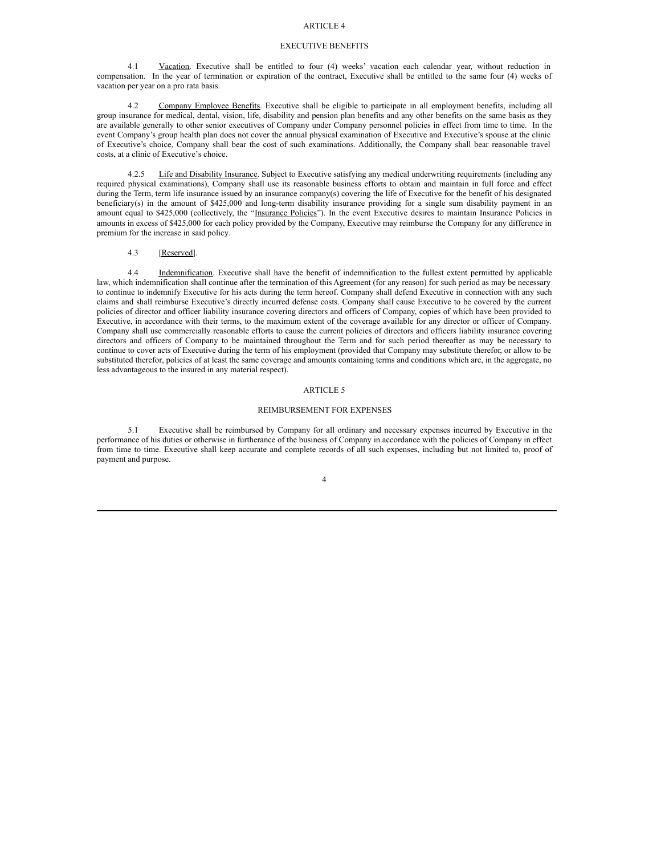# ARTICLE 4

#### EXECUTIVE BENEFITS

4.1 Vacation. Executive shall be entitled to four (4) weeks' vacation each calendar year, without reduction in compensation. In the year of termination or expiration of the contract, Executive shall be entitled to the same four (4) weeks of vacation per year on a pro rata basis.

4.2 Company Employee Benefits. Executive shall be eligible to participate in all employment benefits, including all group insurance for medical, dental, vision, life, disability and pension plan benefits and any other benefits on the same basis as they are available generally to other senior executives of Company under Company personnel policies in effect from time to time. In the event Company's group health plan does not cover the annual physical examination of Executive and Executive's spouse at the clinic of Executive's choice, Company shall bear the cost of such examinations. Additionally, the Company shall bear reasonable travel costs, at a clinic of Executive's choice.

4.2.5 Life and Disability Insurance. Subject to Executive satisfying any medical underwriting requirements (including any required physical examinations), Company shall use its reasonable business efforts to obtain and maintain in full force and effect during the Term, term life insurance issued by an insurance company(s) covering the life of Executive for the benefit of his designated beneficiary(s) in the amount of \$425,000 and long-term disability insurance providing for a single sum disability payment in an amount equal to \$425,000 (collectively, the "Insurance Policies"). In the event Executive desires to maintain Insurance Policies in amounts in excess of \$425,000 for each policy provided by the Company, Executive may reimburse the Company for any difference in premium for the increase in said policy.

#### 4.3 [Reserved].

4.4 Indemnification. Executive shall have the benefit of indemnification to the fullest extent permitted by applicable law, which indemnification shall continue after the termination of this Agreement (for any reason) for such period as may be necessary to continue to indemnify Executive for his acts during the term hereof. Company shall defend Executive in connection with any such claims and shall reimburse Executive's directly incurred defense costs. Company shall cause Executive to be covered by the current policies of director and officer liability insurance covering directors and officers of Company, copies of which have been provided to Executive, in accordance with their terms, to the maximum extent of the coverage available for any director or officer of Company. Company shall use commercially reasonable efforts to cause the current policies of directors and officers liability insurance covering directors and officers of Company to be maintained throughout the Term and for such period thereafter as may be necessary to continue to cover acts of Executive during the term of his employment (provided that Company may substitute therefor, or allow to be substituted therefor, policies of at least the same coverage and amounts containing terms and conditions which are, in the aggregate, no less advantageous to the insured in any material respect).

#### ARTICLE 5

#### REIMBURSEMENT FOR EXPENSES

5.1 Executive shall be reimbursed by Company for all ordinary and necessary expenses incurred by Executive in the performance of his duties or otherwise in furtherance of the business of Company in accordance with the policies of Company in effect from time to time. Executive shall keep accurate and complete records of all such expenses, including but not limited to, proof of payment and purpose.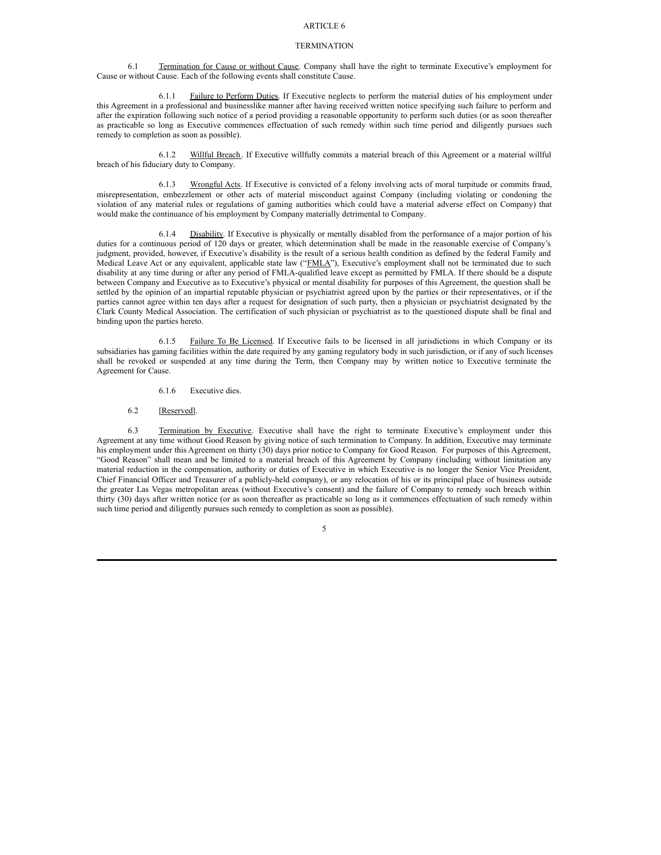# ARTICLE 6

#### **TERMINATION**

6.1 Termination for Cause or without Cause. Company shall have the right to terminate Executive's employment for Cause or without Cause. Each of the following events shall constitute Cause.

6.1.1 Failure to Perform Duties. If Executive neglects to perform the material duties of his employment under this Agreement in a professional and businesslike manner after having received written notice specifying such failure to perform and after the expiration following such notice of a period providing a reasonable opportunity to perform such duties (or as soon thereafter as practicable so long as Executive commences effectuation of such remedy within such time period and diligently pursues such remedy to completion as soon as possible).

6.1.2 Willful Breach. If Executive willfully commits a material breach of this Agreement or a material willful breach of his fiduciary duty to Company.

6.1.3 Wrongful Acts. If Executive is convicted of a felony involving acts of moral turpitude or commits fraud, misrepresentation, embezzlement or other acts of material misconduct against Company (including violating or condoning the violation of any material rules or regulations of gaming authorities which could have a material adverse effect on Company) that would make the continuance of his employment by Company materially detrimental to Company.

6.1.4 Disability. If Executive is physically or mentally disabled from the performance of a major portion of his duties for a continuous period of 120 days or greater, which determination shall be made in the reasonable exercise of Company's judgment, provided, however, if Executive's disability is the result of a serious health condition as defined by the federal Family and Medical Leave Act or any equivalent, applicable state law ("FMLA"), Executive's employment shall not be terminated due to such disability at any time during or after any period of FMLA-qualified leave except as permitted by FMLA. If there should be a dispute between Company and Executive as to Executive's physical or mental disability for purposes of this Agreement, the question shall be settled by the opinion of an impartial reputable physician or psychiatrist agreed upon by the parties or their representatives, or if the parties cannot agree within ten days after a request for designation of such party, then a physician or psychiatrist designated by the Clark County Medical Association. The certification of such physician or psychiatrist as to the questioned dispute shall be final and binding upon the parties hereto.

6.1.5 Failure To Be Licensed. If Executive fails to be licensed in all jurisdictions in which Company or its subsidiaries has gaming facilities within the date required by any gaming regulatory body in such jurisdiction, or if any of such licenses shall be revoked or suspended at any time during the Term, then Company may by written notice to Executive terminate the Agreement for Cause.

- 6.1.6 Executive dies.
- 6.2 [Reserved].

6.3 Termination by Executive. Executive shall have the right to terminate Executive's employment under this Agreement at any time without Good Reason by giving notice of such termination to Company. In addition, Executive may terminate his employment under this Agreement on thirty (30) days prior notice to Company for Good Reason. For purposes of this Agreement, "Good Reason" shall mean and be limited to a material breach of this Agreement by Company (including without limitation any material reduction in the compensation, authority or duties of Executive in which Executive is no longer the Senior Vice President, Chief Financial Officer and Treasurer of a publicly-held company), or any relocation of his or its principal place of business outside the greater Las Vegas metropolitan areas (without Executive's consent) and the failure of Company to remedy such breach within thirty (30) days after written notice (or as soon thereafter as practicable so long as it commences effectuation of such remedy within such time period and diligently pursues such remedy to completion as soon as possible).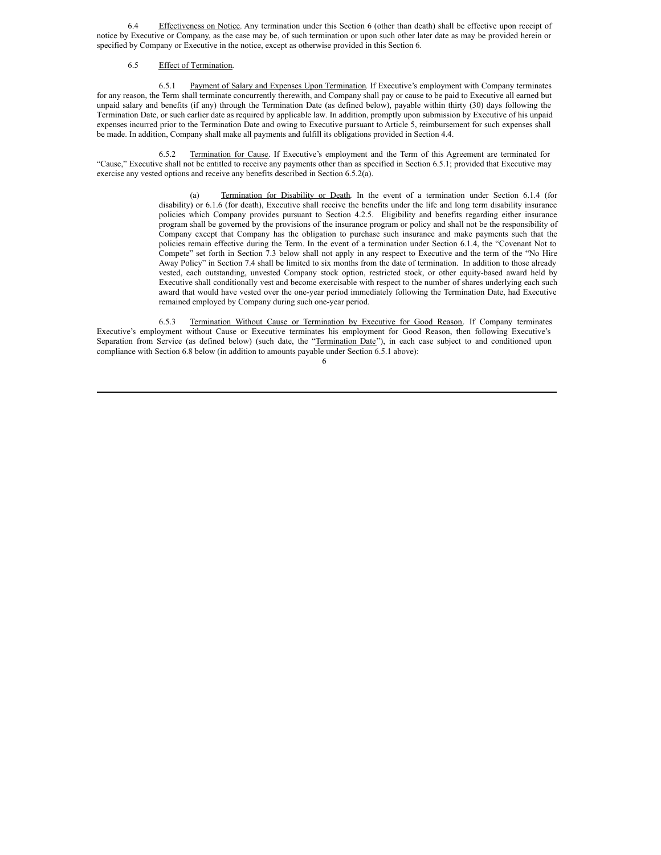6.4 Effectiveness on Notice. Any termination under this Section 6 (other than death) shall be effective upon receipt of notice by Executive or Company, as the case may be, of such termination or upon such other later date as may be provided herein or specified by Company or Executive in the notice, except as otherwise provided in this Section 6.

### 6.5 Effect of Termination.

6.5.1 Payment of Salary and Expenses Upon Termination. If Executive's employment with Company terminates for any reason, the Term shall terminate concurrently therewith, and Company shall pay or cause to be paid to Executive all earned but unpaid salary and benefits (if any) through the Termination Date (as defined below), payable within thirty (30) days following the Termination Date, or such earlier date as required by applicable law. In addition, promptly upon submission by Executive of his unpaid expenses incurred prior to the Termination Date and owing to Executive pursuant to Article 5, reimbursement for such expenses shall be made. In addition, Company shall make all payments and fulfill its obligations provided in Section 4.4.

6.5.2 Termination for Cause. If Executive's employment and the Term of this Agreement are terminated for "Cause," Executive shall not be entitled to receive any payments other than as specified in Section 6.5.1; provided that Executive may exercise any vested options and receive any benefits described in Section 6.5.2(a).

> (a) Termination for Disability or Death. In the event of a termination under Section 6.1.4 (for disability) or 6.1.6 (for death), Executive shall receive the benefits under the life and long term disability insurance policies which Company provides pursuant to Section 4.2.5. Eligibility and benefits regarding either insurance program shall be governed by the provisions of the insurance program or policy and shall not be the responsibility of Company except that Company has the obligation to purchase such insurance and make payments such that the policies remain effective during the Term. In the event of a termination under Section 6.1.4, the "Covenant Not to Compete" set forth in Section 7.3 below shall not apply in any respect to Executive and the term of the "No Hire Away Policy" in Section 7.4 shall be limited to six months from the date of termination. In addition to those already vested, each outstanding, unvested Company stock option, restricted stock, or other equity-based award held by Executive shall conditionally vest and become exercisable with respect to the number of shares underlying each such award that would have vested over the one-year period immediately following the Termination Date, had Executive remained employed by Company during such one-year period.

6.5.3 Termination Without Cause or Termination by Executive for Good Reason. If Company terminates Executive's employment without Cause or Executive terminates his employment for Good Reason, then following Executive's Separation from Service (as defined below) (such date, the "Termination Date"), in each case subject to and conditioned upon compliance with Section 6.8 below (in addition to amounts payable under Section 6.5.1 above):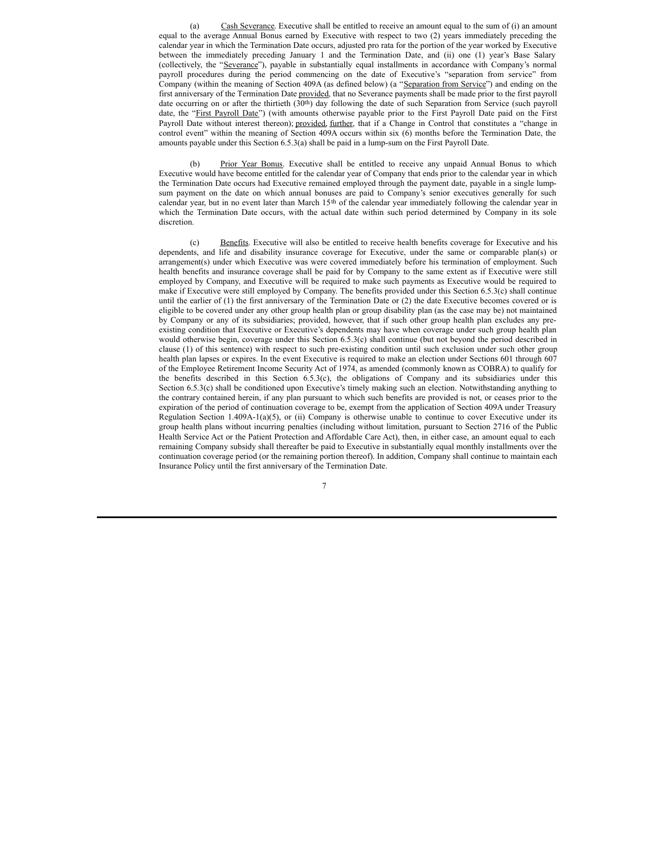(a) Cash Severance. Executive shall be entitled to receive an amount equal to the sum of (i) an amount equal to the average Annual Bonus earned by Executive with respect to two (2) years immediately preceding the calendar year in which the Termination Date occurs, adjusted pro rata for the portion of the year worked by Executive between the immediately preceding January 1 and the Termination Date, and (ii) one (1) year's Base Salary (collectively, the "Severance"), payable in substantially equal installments in accordance with Company's normal payroll procedures during the period commencing on the date of Executive's "separation from service" from Company (within the meaning of Section 409A (as defined below) (a "Separation from Service") and ending on the first anniversary of the Termination Date provided, that no Severance payments shall be made prior to the first payroll date occurring on or after the thirtieth (30<sup>th</sup>) day following the date of such Separation from Service (such payroll date, the "First Payroll Date") (with amounts otherwise payable prior to the First Payroll Date paid on the First Payroll Date without interest thereon); provided, further, that if a Change in Control that constitutes a "change in control event" within the meaning of Section 409A occurs within six (6) months before the Termination Date, the amounts payable under this Section 6.5.3(a) shall be paid in a lump-sum on the First Payroll Date.

(b) Prior Year Bonus. Executive shall be entitled to receive any unpaid Annual Bonus to which Executive would have become entitled for the calendar year of Company that ends prior to the calendar year in which the Termination Date occurs had Executive remained employed through the payment date, payable in a single lumpsum payment on the date on which annual bonuses are paid to Company's senior executives generally for such calendar year, but in no event later than March 15<sup>th</sup> of the calendar year immediately following the calendar year in which the Termination Date occurs, with the actual date within such period determined by Company in its sole discretion.

(c) Benefits. Executive will also be entitled to receive health benefits coverage for Executive and his dependents, and life and disability insurance coverage for Executive, under the same or comparable plan(s) or arrangement(s) under which Executive was were covered immediately before his termination of employment. Such health benefits and insurance coverage shall be paid for by Company to the same extent as if Executive were still employed by Company, and Executive will be required to make such payments as Executive would be required to make if Executive were still employed by Company. The benefits provided under this Section 6.5.3(c) shall continue until the earlier of (1) the first anniversary of the Termination Date or (2) the date Executive becomes covered or is eligible to be covered under any other group health plan or group disability plan (as the case may be) not maintained by Company or any of its subsidiaries; provided, however, that if such other group health plan excludes any preexisting condition that Executive or Executive's dependents may have when coverage under such group health plan would otherwise begin, coverage under this Section 6.5.3(c) shall continue (but not beyond the period described in clause (1) of this sentence) with respect to such pre-existing condition until such exclusion under such other group health plan lapses or expires. In the event Executive is required to make an election under Sections 601 through 607 of the Employee Retirement Income Security Act of 1974, as amended (commonly known as COBRA) to qualify for the benefits described in this Section 6.5.3(c), the obligations of Company and its subsidiaries under this Section 6.5.3(c) shall be conditioned upon Executive's timely making such an election. Notwithstanding anything to the contrary contained herein, if any plan pursuant to which such benefits are provided is not, or ceases prior to the expiration of the period of continuation coverage to be, exempt from the application of Section 409A under Treasury Regulation Section 1.409A-1(a)(5), or (ii) Company is otherwise unable to continue to cover Executive under its group health plans without incurring penalties (including without limitation, pursuant to Section 2716 of the Public Health Service Act or the Patient Protection and Affordable Care Act), then, in either case, an amount equal to each remaining Company subsidy shall thereafter be paid to Executive in substantially equal monthly installments over the continuation coverage period (or the remaining portion thereof). In addition, Company shall continue to maintain each Insurance Policy until the first anniversary of the Termination Date.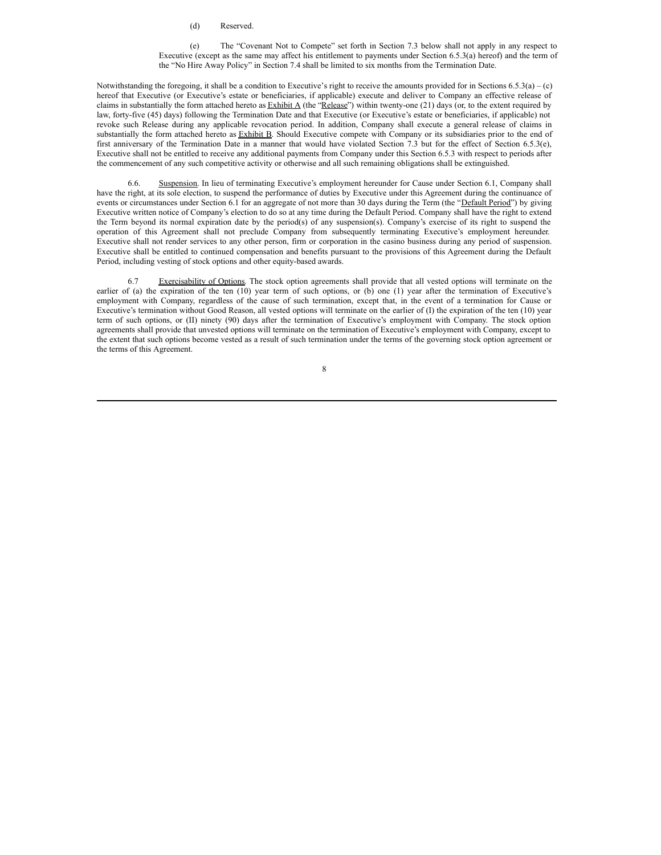#### (d) Reserved.

(e) The "Covenant Not to Compete" set forth in Section 7.3 below shall not apply in any respect to Executive (except as the same may affect his entitlement to payments under Section 6.5.3(a) hereof) and the term of the "No Hire Away Policy" in Section 7.4 shall be limited to six months from the Termination Date.

Notwithstanding the foregoing, it shall be a condition to Executive's right to receive the amounts provided for in Sections  $6.5.3(a) - (c)$ hereof that Executive (or Executive's estate or beneficiaries, if applicable) execute and deliver to Company an effective release of claims in substantially the form attached hereto as  $Exhibit A$  (the "Release") within twenty-one (21) days (or, to the extent required by law, forty-five (45) days) following the Termination Date and that Executive (or Executive's estate or beneficiaries, if applicable) not revoke such Release during any applicable revocation period. In addition, Company shall execute a general release of claims in substantially the form attached hereto as Exhibit B. Should Executive compete with Company or its subsidiaries prior to the end of first anniversary of the Termination Date in a manner that would have violated Section 7.3 but for the effect of Section 6.5.3(e), Executive shall not be entitled to receive any additional payments from Company under this Section 6.5.3 with respect to periods after the commencement of any such competitive activity or otherwise and all such remaining obligations shall be extinguished.

6.6. Suspension. In lieu of terminating Executive's employment hereunder for Cause under Section 6.1, Company shall have the right, at its sole election, to suspend the performance of duties by Executive under this Agreement during the continuance of events or circumstances under Section 6.1 for an aggregate of not more than 30 days during the Term (the "Default Period") by giving Executive written notice of Company's election to do so at any time during the Default Period. Company shall have the right to extend the Term beyond its normal expiration date by the period(s) of any suspension(s). Company's exercise of its right to suspend the operation of this Agreement shall not preclude Company from subsequently terminating Executive's employment hereunder. Executive shall not render services to any other person, firm or corporation in the casino business during any period of suspension. Executive shall be entitled to continued compensation and benefits pursuant to the provisions of this Agreement during the Default Period, including vesting of stock options and other equity-based awards.

6.7 Exercisability of Options. The stock option agreements shall provide that all vested options will terminate on the earlier of (a) the expiration of the ten (10) year term of such options, or (b) one (1) year after the termination of Executive's employment with Company, regardless of the cause of such termination, except that, in the event of a termination for Cause or Executive's termination without Good Reason, all vested options will terminate on the earlier of (I) the expiration of the ten (10) year term of such options, or (II) ninety (90) days after the termination of Executive's employment with Company. The stock option agreements shall provide that unvested options will terminate on the termination of Executive's employment with Company, except to the extent that such options become vested as a result of such termination under the terms of the governing stock option agreement or the terms of this Agreement.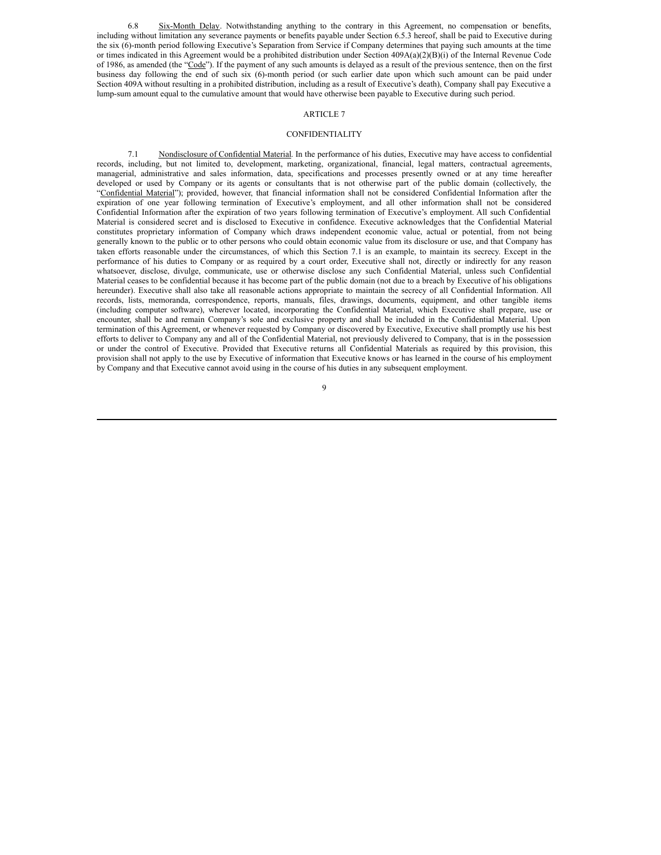<span id="page-12-0"></span>6.8 Six-Month Delay. Notwithstanding anything to the contrary in this Agreement, no compensation or benefits, including without limitation any severance payments or benefits payable under Section 6.5.3 hereof, shall be paid to Executive during the six (6)-month period following Executive's Separation from Service if Company determines that paying such amounts at the time or times indicated in this Agreement would be a prohibited distribution under Section 409A(a)(2)(B)(i) of the Internal Revenue Code of 1986, as amended (the "Code"). If the payment of any such amounts is delayed as a result of the previous sentence, then on the first business day following the end of such six (6)-month period (or such earlier date upon which such amount can be paid under Section 409A without resulting in a prohibited distribution, including as a result of Executive's death), Company shall pay Executive a lump-sum amount equal to the cumulative amount that would have otherwise been payable to Executive during such period.

# ARTICLE 7

# CONFIDENTIALITY

7.1 Nondisclosure of Confidential Material. In the performance of his duties, Executive may have access to confidential records, including, but not limited to, development, marketing, organizational, financial, legal matters, contractual agreements, managerial, administrative and sales information, data, specifications and processes presently owned or at any time hereafter developed or used by Company or its agents or consultants that is not otherwise part of the public domain (collectively, the "Confidential Material"); provided, however, that financial information shall not be considered Confidential Information after the expiration of one year following termination of Executive's employment, and all other information shall not be considered Confidential Information after the expiration of two years following termination of Executive's employment. All such Confidential Material is considered secret and is disclosed to Executive in confidence. Executive acknowledges that the Confidential Material constitutes proprietary information of Company which draws independent economic value, actual or potential, from not being generally known to the public or to other persons who could obtain economic value from its disclosure or use, and that Company has taken efforts reasonable under the circumstances, of which this Section 7.1 is an example, to maintain its secrecy. Except in the performance of his duties to Company or as required by a court order, Executive shall not, directly or indirectly for any reason whatsoever, disclose, divulge, communicate, use or otherwise disclose any such Confidential Material, unless such Confidential Material ceases to be confidential because it has become part of the public domain (not due to a breach by Executive of his obligations hereunder). Executive shall also take all reasonable actions appropriate to maintain the secrecy of all Confidential Information. All records, lists, memoranda, correspondence, reports, manuals, files, drawings, documents, equipment, and other tangible items (including computer software), wherever located, incorporating the Confidential Material, which Executive shall prepare, use or encounter, shall be and remain Company's sole and exclusive property and shall be included in the Confidential Material. Upon termination of this Agreement, or whenever requested by Company or discovered by Executive, Executive shall promptly use his best efforts to deliver to Company any and all of the Confidential Material, not previously delivered to Company, that is in the possession or under the control of Executive. Provided that Executive returns all Confidential Materials as required by this provision, this provision shall not apply to the use by Executive of information that Executive knows or has learned in the course of his employment by Company and that Executive cannot avoid using in the course of his duties in any subsequent employment.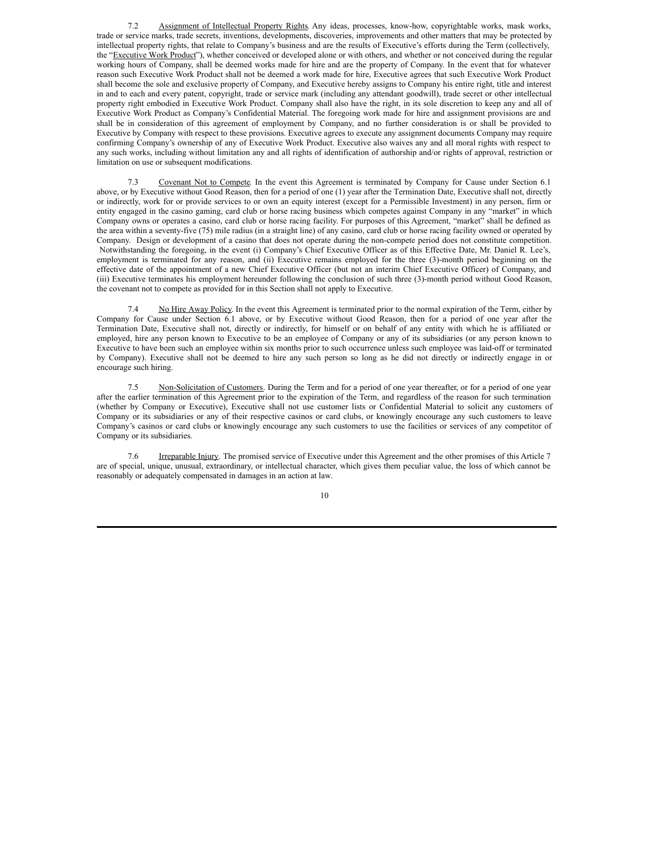7.2 Assignment of Intellectual Property Rights. Any ideas, processes, know-how, copyrightable works, mask works, trade or service marks, trade secrets, inventions, developments, discoveries, improvements and other matters that may be protected by intellectual property rights, that relate to Company's business and are the results of Executive's efforts during the Term (collectively, the "Executive Work Product"), whether conceived or developed alone or with others, and whether or not conceived during the regular working hours of Company, shall be deemed works made for hire and are the property of Company. In the event that for whatever reason such Executive Work Product shall not be deemed a work made for hire, Executive agrees that such Executive Work Product shall become the sole and exclusive property of Company, and Executive hereby assigns to Company his entire right, title and interest in and to each and every patent, copyright, trade or service mark (including any attendant goodwill), trade secret or other intellectual property right embodied in Executive Work Product. Company shall also have the right, in its sole discretion to keep any and all of Executive Work Product as Company's Confidential Material. The foregoing work made for hire and assignment provisions are and shall be in consideration of this agreement of employment by Company, and no further consideration is or shall be provided to Executive by Company with respect to these provisions. Executive agrees to execute any assignment documents Company may require confirming Company's ownership of any of Executive Work Product. Executive also waives any and all moral rights with respect to any such works, including without limitation any and all rights of identification of authorship and/or rights of approval, restriction or limitation on use or subsequent modifications.

7.3 Covenant Not to Compete. In the event this Agreement is terminated by Company for Cause under Section 6.1 above, or by Executive without Good Reason, then for a period of one (1) year after the Termination Date, Executive shall not, directly or indirectly, work for or provide services to or own an equity interest (except for a Permissible Investment) in any person, firm or entity engaged in the casino gaming, card club or horse racing business which competes against Company in any "market" in which Company owns or operates a casino, card club or horse racing facility. For purposes of this Agreement, "market" shall be defined as the area within a seventy-five (75) mile radius (in a straight line) of any casino, card club or horse racing facility owned or operated by Company. Design or development of a casino that does not operate during the non-compete period does not constitute competition. Notwithstanding the foregoing, in the event (i) Company's Chief Executive Officer as of this Effective Date, Mr. Daniel R. Lee's, employment is terminated for any reason, and (ii) Executive remains employed for the three (3)-month period beginning on the effective date of the appointment of a new Chief Executive Officer (but not an interim Chief Executive Officer) of Company, and (iii) Executive terminates his employment hereunder following the conclusion of such three (3)-month period without Good Reason, the covenant not to compete as provided for in this Section shall not apply to Executive.

7.4 No Hire Away Policy. In the event this Agreement is terminated prior to the normal expiration of the Term, either by Company for Cause under Section 6.1 above, or by Executive without Good Reason, then for a period of one year after the Termination Date, Executive shall not, directly or indirectly, for himself or on behalf of any entity with which he is affiliated or employed, hire any person known to Executive to be an employee of Company or any of its subsidiaries (or any person known to Executive to have been such an employee within six months prior to such occurrence unless such employee was laid-off or terminated by Company). Executive shall not be deemed to hire any such person so long as he did not directly or indirectly engage in or encourage such hiring.

7.5 Non-Solicitation of Customers. During the Term and for a period of one year thereafter, or for a period of one year after the earlier termination of this Agreement prior to the expiration of the Term, and regardless of the reason for such termination (whether by Company or Executive), Executive shall not use customer lists or Confidential Material to solicit any customers of Company or its subsidiaries or any of their respective casinos or card clubs, or knowingly encourage any such customers to leave Company's casinos or card clubs or knowingly encourage any such customers to use the facilities or services of any competitor of Company or its subsidiaries.

7.6 Irreparable Injury. The promised service of Executive under this Agreement and the other promises of this Article 7 are of special, unique, unusual, extraordinary, or intellectual character, which gives them peculiar value, the loss of which cannot be reasonably or adequately compensated in damages in an action at law.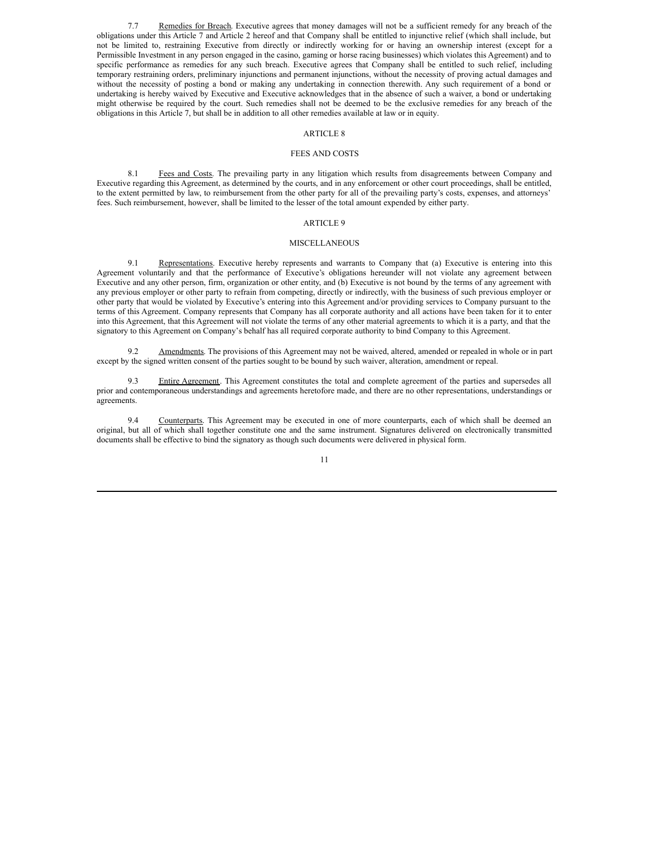7.7 Remedies for Breach. Executive agrees that money damages will not be a sufficient remedy for any breach of the obligations under this Article 7 and Article 2 hereof and that Company shall be entitled to injunctive relief (which shall include, but not be limited to, restraining Executive from directly or indirectly working for or having an ownership interest (except for a Permissible Investment in any person engaged in the casino, gaming or horse racing businesses) which violates this Agreement) and to specific performance as remedies for any such breach. Executive agrees that Company shall be entitled to such relief, including temporary restraining orders, preliminary injunctions and permanent injunctions, without the necessity of proving actual damages and without the necessity of posting a bond or making any undertaking in connection therewith. Any such requirement of a bond or undertaking is hereby waived by Executive and Executive acknowledges that in the absence of such a waiver, a bond or undertaking might otherwise be required by the court. Such remedies shall not be deemed to be the exclusive remedies for any breach of the obligations in this Article 7, but shall be in addition to all other remedies available at law or in equity.

## ARTICLE 8

#### FEES AND COSTS

8.1 Fees and Costs. The prevailing party in any litigation which results from disagreements between Company and Executive regarding this Agreement, as determined by the courts, and in any enforcement or other court proceedings, shall be entitled, to the extent permitted by law, to reimbursement from the other party for all of the prevailing party's costs, expenses, and attorneys' fees. Such reimbursement, however, shall be limited to the lesser of the total amount expended by either party.

# ARTICLE 9

#### MISCELLANEOUS

9.1 Representations. Executive hereby represents and warrants to Company that (a) Executive is entering into this Agreement voluntarily and that the performance of Executive's obligations hereunder will not violate any agreement between Executive and any other person, firm, organization or other entity, and (b) Executive is not bound by the terms of any agreement with any previous employer or other party to refrain from competing, directly or indirectly, with the business of such previous employer or other party that would be violated by Executive's entering into this Agreement and/or providing services to Company pursuant to the terms of this Agreement. Company represents that Company has all corporate authority and all actions have been taken for it to enter into this Agreement, that this Agreement will not violate the terms of any other material agreements to which it is a party, and that the signatory to this Agreement on Company's behalf has all required corporate authority to bind Company to this Agreement.

9.2 Amendments. The provisions of this Agreement may not be waived, altered, amended or repealed in whole or in part except by the signed written consent of the parties sought to be bound by such waiver, alteration, amendment or repeal.

9.3 Entire Agreement. This Agreement constitutes the total and complete agreement of the parties and supersedes all prior and contemporaneous understandings and agreements heretofore made, and there are no other representations, understandings or agreements.

9.4 Counterparts. This Agreement may be executed in one of more counterparts, each of which shall be deemed an original, but all of which shall together constitute one and the same instrument. Signatures delivered on electronically transmitted documents shall be effective to bind the signatory as though such documents were delivered in physical form.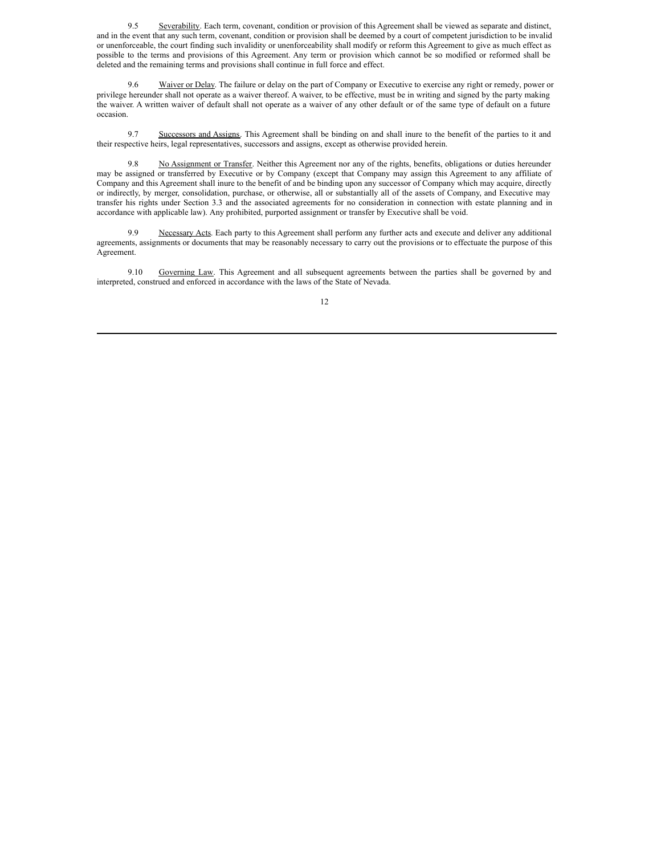9.5 Severability. Each term, covenant, condition or provision of this Agreement shall be viewed as separate and distinct, and in the event that any such term, covenant, condition or provision shall be deemed by a court of competent jurisdiction to be invalid or unenforceable, the court finding such invalidity or unenforceability shall modify or reform this Agreement to give as much effect as possible to the terms and provisions of this Agreement. Any term or provision which cannot be so modified or reformed shall be deleted and the remaining terms and provisions shall continue in full force and effect.

9.6 Waiver or Delay. The failure or delay on the part of Company or Executive to exercise any right or remedy, power or privilege hereunder shall not operate as a waiver thereof. A waiver, to be effective, must be in writing and signed by the party making the waiver. A written waiver of default shall not operate as a waiver of any other default or of the same type of default on a future occasion.

9.7 Successors and Assigns. This Agreement shall be binding on and shall inure to the benefit of the parties to it and their respective heirs, legal representatives, successors and assigns, except as otherwise provided herein.

9.8 No Assignment or Transfer. Neither this Agreement nor any of the rights, benefits, obligations or duties hereunder may be assigned or transferred by Executive or by Company (except that Company may assign this Agreement to any affiliate of Company and this Agreement shall inure to the benefit of and be binding upon any successor of Company which may acquire, directly or indirectly, by merger, consolidation, purchase, or otherwise, all or substantially all of the assets of Company, and Executive may transfer his rights under Section 3.3 and the associated agreements for no consideration in connection with estate planning and in accordance with applicable law). Any prohibited, purported assignment or transfer by Executive shall be void.

9.9 Necessary Acts. Each party to this Agreement shall perform any further acts and execute and deliver any additional agreements, assignments or documents that may be reasonably necessary to carry out the provisions or to effectuate the purpose of this Agreement.

9.10 Governing Law. This Agreement and all subsequent agreements between the parties shall be governed by and interpreted, construed and enforced in accordance with the laws of the State of Nevada.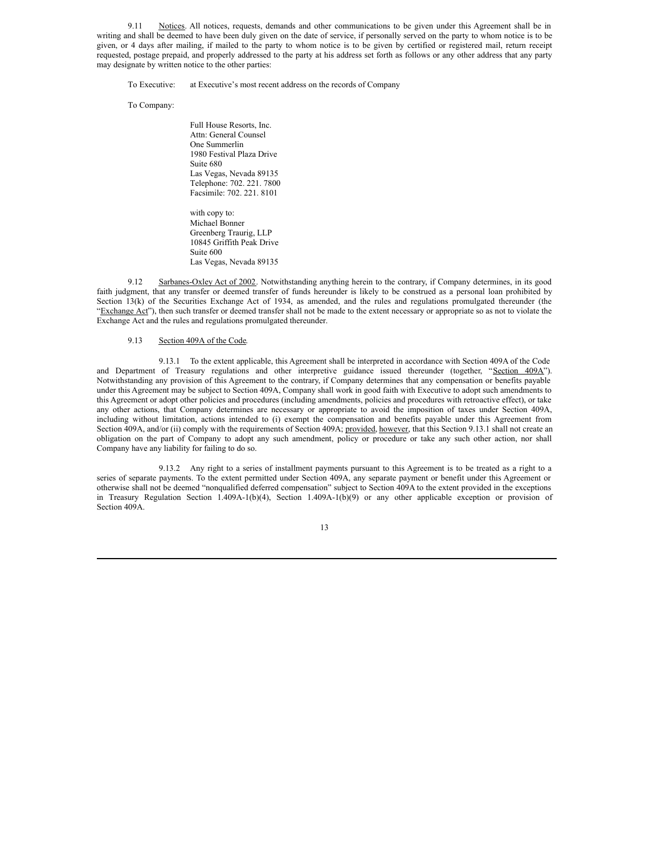9.11 Notices. All notices, requests, demands and other communications to be given under this Agreement shall be in writing and shall be deemed to have been duly given on the date of service, if personally served on the party to whom notice is to be given, or 4 days after mailing, if mailed to the party to whom notice is to be given by certified or registered mail, return receipt requested, postage prepaid, and properly addressed to the party at his address set forth as follows or any other address that any party may designate by written notice to the other parties:

To Executive: at Executive's most recent address on the records of Company

To Company:

Full House Resorts, Inc. Attn: General Counsel One Summerlin 1980 Festival Plaza Drive Suite 680 Las Vegas, Nevada 89135 Telephone: 702. 221. 7800 Facsimile: 702. 221. 8101

with copy to: Michael Bonner Greenberg Traurig, LLP 10845 Griffith Peak Drive Suite 600 Las Vegas, Nevada 89135

9.12 Sarbanes-Oxley Act of 2002. Notwithstanding anything herein to the contrary, if Company determines, in its good faith judgment, that any transfer or deemed transfer of funds hereunder is likely to be construed as a personal loan prohibited by Section 13(k) of the Securities Exchange Act of 1934, as amended, and the rules and regulations promulgated thereunder (the "Exchange Act"), then such transfer or deemed transfer shall not be made to the extent necessary or appropriate so as not to violate the Exchange Act and the rules and regulations promulgated thereunder.

#### 9.13 Section 409A of the Code.

9.13.1 To the extent applicable, this Agreement shall be interpreted in accordance with Section 409A of the Code and Department of Treasury regulations and other interpretive guidance issued thereunder (together, "Section 409A"). Notwithstanding any provision of this Agreement to the contrary, if Company determines that any compensation or benefits payable under this Agreement may be subject to Section 409A, Company shall work in good faith with Executive to adopt such amendments to this Agreement or adopt other policies and procedures (including amendments, policies and procedures with retroactive effect), or take any other actions, that Company determines are necessary or appropriate to avoid the imposition of taxes under Section 409A, including without limitation, actions intended to (i) exempt the compensation and benefits payable under this Agreement from Section 409A, and/or (ii) comply with the requirements of Section 409A; provided, however, that this Section 9.13.1 shall not create an obligation on the part of Company to adopt any such amendment, policy or procedure or take any such other action, nor shall Company have any liability for failing to do so.

9.13.2 Any right to a series of installment payments pursuant to this Agreement is to be treated as a right to a series of separate payments. To the extent permitted under Section 409A, any separate payment or benefit under this Agreement or otherwise shall not be deemed "nonqualified deferred compensation" subject to Section 409A to the extent provided in the exceptions in Treasury Regulation Section 1.409A-1(b)(4), Section 1.409A-1(b)(9) or any other applicable exception or provision of Section 409A.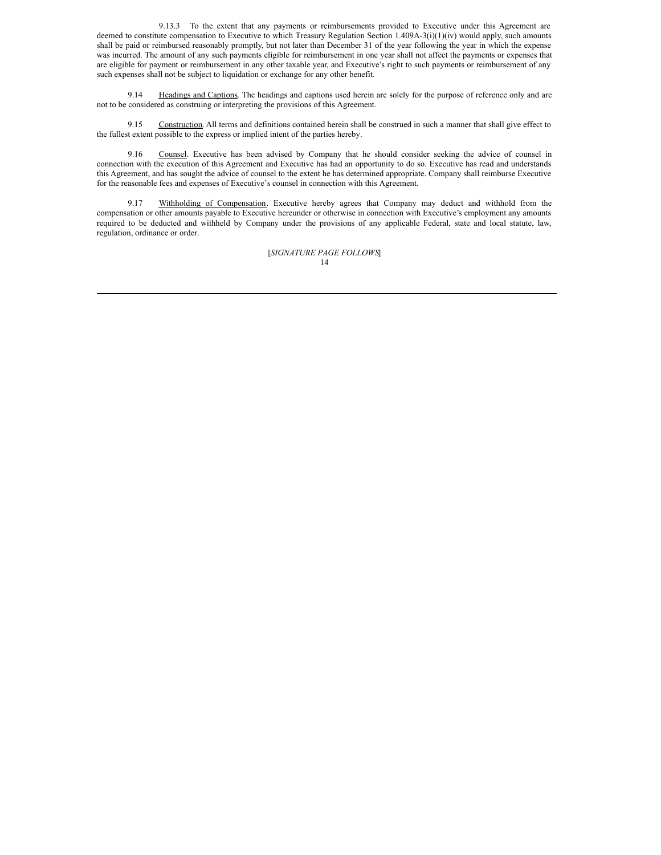9.13.3 To the extent that any payments or reimbursements provided to Executive under this Agreement are deemed to constitute compensation to Executive to which Treasury Regulation Section 1.409A-3(i)(1)(iv) would apply, such amounts shall be paid or reimbursed reasonably promptly, but not later than December 31 of the year following the year in which the expense was incurred. The amount of any such payments eligible for reimbursement in one year shall not affect the payments or expenses that are eligible for payment or reimbursement in any other taxable year, and Executive's right to such payments or reimbursement of any such expenses shall not be subject to liquidation or exchange for any other benefit.

9.14 Headings and Captions. The headings and captions used herein are solely for the purpose of reference only and are not to be considered as construing or interpreting the provisions of this Agreement.

9.15 Construction. All terms and definitions contained herein shall be construed in such a manner that shall give effect to the fullest extent possible to the express or implied intent of the parties hereby.

9.16 Counsel. Executive has been advised by Company that he should consider seeking the advice of counsel in connection with the execution of this Agreement and Executive has had an opportunity to do so. Executive has read and understands this Agreement, and has sought the advice of counsel to the extent he has determined appropriate. Company shall reimburse Executive for the reasonable fees and expenses of Executive's counsel in connection with this Agreement.

9.17 Withholding of Compensation. Executive hereby agrees that Company may deduct and withhold from the compensation or other amounts payable to Executive hereunder or otherwise in connection with Executive's employment any amounts required to be deducted and withheld by Company under the provisions of any applicable Federal, state and local statute, law, regulation, ordinance or order.

> 14 [*SIGNATURE PAGE FOLLOWS*]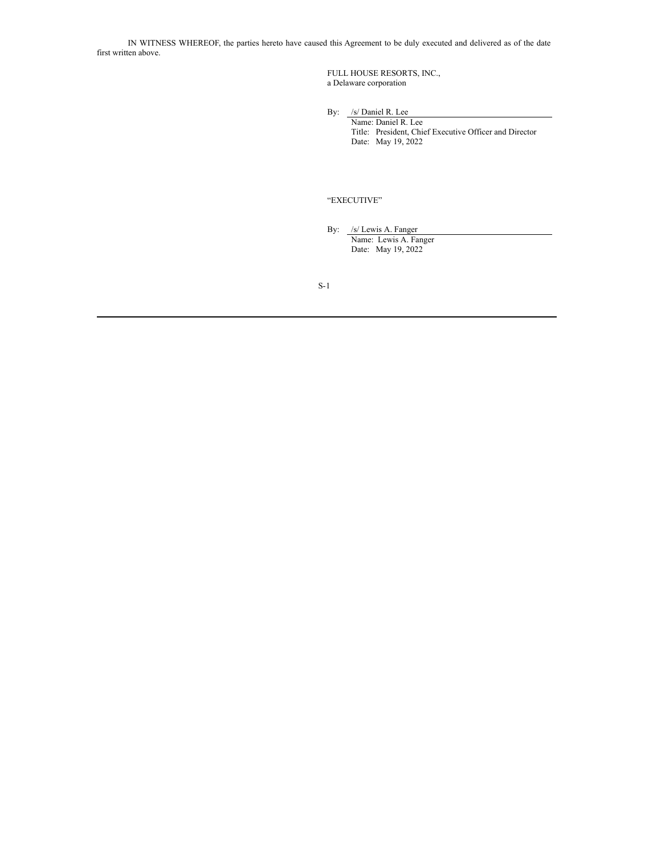IN WITNESS WHEREOF, the parties hereto have caused this Agreement to be duly executed and delivered as of the date first written above.

> FULL HOUSE RESORTS, INC., a Delaware corporation

By: /s/ Daniel R. Lee

Name: Daniel R. Lee Title: President, Chief Executive Officer and Director Date: May 19, 2022

# "EXECUTIVE"

By: /s/ Lewis A. Fanger Name: Lewis A. Fanger Date: May 19, 2022

S-1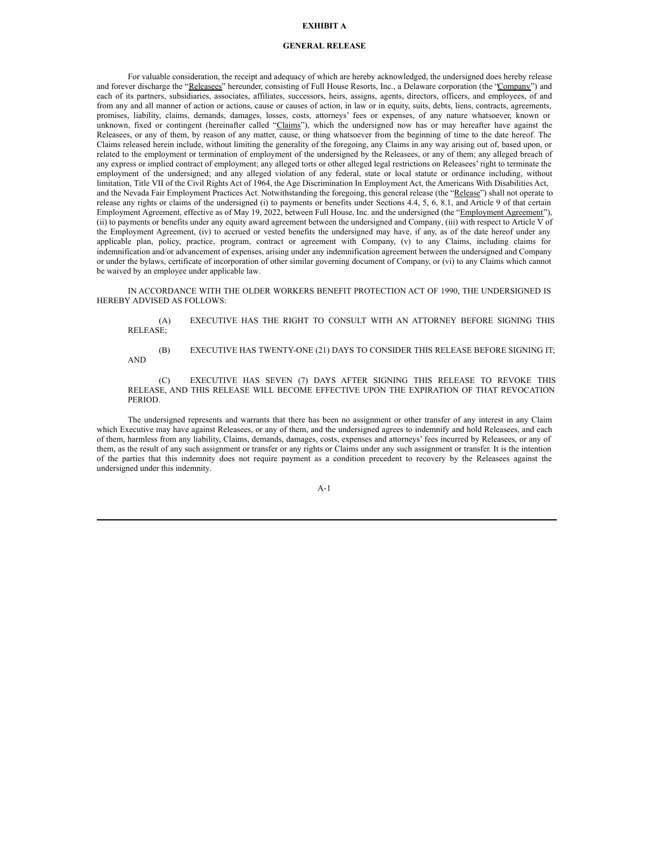# **EXHIBIT A**

#### **GENERAL RELEASE**

For valuable consideration, the receipt and adequacy of which are hereby acknowledged, the undersigned does hereby release and forever discharge the "Releasees" hereunder, consisting of Full House Resorts, Inc., a Delaware corporation (the "Company") and each of its partners, subsidiaries, associates, affiliates, successors, heirs, assigns, agents, directors, officers, and employees, of and from any and all manner of action or actions, cause or causes of action, in law or in equity, suits, debts, liens, contracts, agreements, promises, liability, claims, demands, damages, losses, costs, attorneys' fees or expenses, of any nature whatsoever, known or unknown, fixed or contingent (hereinafter called "Claims"), which the undersigned now has or may hereafter have against the Releasees, or any of them, by reason of any matter, cause, or thing whatsoever from the beginning of time to the date hereof. The Claims released herein include, without limiting the generality of the foregoing, any Claims in any way arising out of, based upon, or related to the employment or termination of employment of the undersigned by the Releasees, or any of them; any alleged breach of any express or implied contract of employment; any alleged torts or other alleged legal restrictions on Releasees' right to terminate the employment of the undersigned; and any alleged violation of any federal, state or local statute or ordinance including, without limitation, Title VII of the Civil Rights Act of 1964, the Age Discrimination In Employment Act, the Americans With Disabilities Act, and the Nevada Fair Employment Practices Act. Notwithstanding the foregoing, this general release (the "Release") shall not operate to release any rights or claims of the undersigned (i) to payments or benefits under Sections 4.4, 5, 6, 8.1, and Article 9 of that certain Employment Agreement, effective as of May 19, 2022, between Full House, Inc. and the undersigned (the "Employment Agreement"), (ii) to payments or benefits under any equity award agreement between the undersigned and Company, (iii) with respect to Article V of the Employment Agreement, (iv) to accrued or vested benefits the undersigned may have, if any, as of the date hereof under any applicable plan, policy, practice, program, contract or agreement with Company, (v) to any Claims, including claims for indemnification and/or advancement of expenses, arising under any indemnification agreement between the undersigned and Company or under the bylaws, certificate of incorporation of other similar governing document of Company, or (vi) to any Claims which cannot be waived by an employee under applicable law.

IN ACCORDANCE WITH THE OLDER WORKERS BENEFIT PROTECTION ACT OF 1990, THE UNDERSIGNED IS HEREBY ADVISED AS FOLLOWS:

(A) EXECUTIVE HAS THE RIGHT TO CONSULT WITH AN ATTORNEY BEFORE SIGNING THIS RELEASE;

(B) EXECUTIVE HAS TWENTY-ONE (21) DAYS TO CONSIDER THIS RELEASE BEFORE SIGNING IT; AND

(C) EXECUTIVE HAS SEVEN (7) DAYS AFTER SIGNING THIS RELEASE TO REVOKE THIS RELEASE, AND THIS RELEASE WILL BECOME EFFECTIVE UPON THE EXPIRATION OF THAT REVOCATION PERIOD.

The undersigned represents and warrants that there has been no assignment or other transfer of any interest in any Claim which Executive may have against Releasees, or any of them, and the undersigned agrees to indemnify and hold Releasees, and each of them, harmless from any liability, Claims, demands, damages, costs, expenses and attorneys' fees incurred by Releasees, or any of them, as the result of any such assignment or transfer or any rights or Claims under any such assignment or transfer. It is the intention of the parties that this indemnity does not require payment as a condition precedent to recovery by the Releasees against the undersigned under this indemnity.

A-1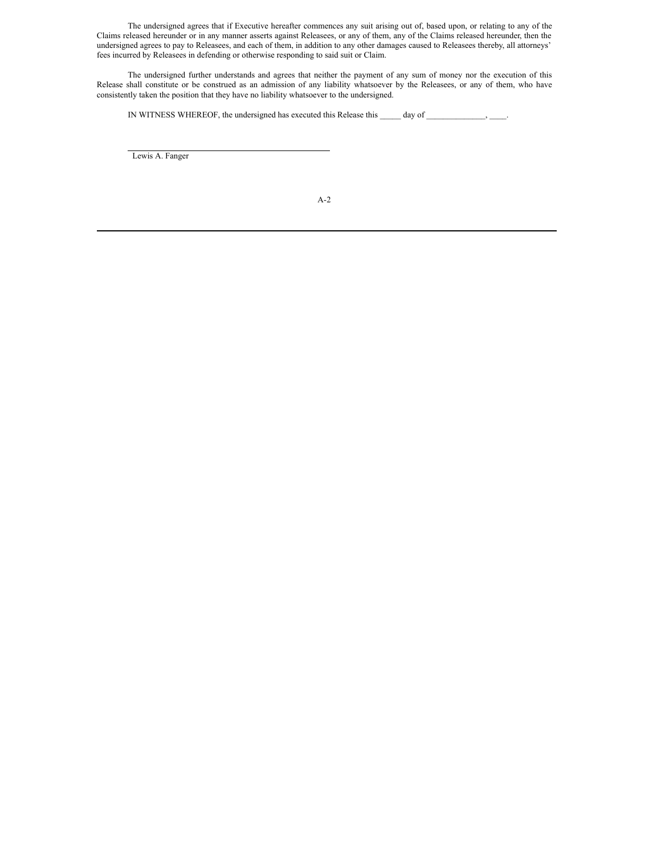The undersigned agrees that if Executive hereafter commences any suit arising out of, based upon, or relating to any of the Claims released hereunder or in any manner asserts against Releasees, or any of them, any of the Claims released hereunder, then the undersigned agrees to pay to Releasees, and each of them, in addition to any other damages caused to Releasees thereby, all attorneys' fees incurred by Releasees in defending or otherwise responding to said suit or Claim.

The undersigned further understands and agrees that neither the payment of any sum of money nor the execution of this Release shall constitute or be construed as an admission of any liability whatsoever by the Releasees, or any of them, who have consistently taken the position that they have no liability whatsoever to the undersigned.

IN WITNESS WHEREOF, the undersigned has executed this Release this \_\_\_\_\_ day of \_\_\_\_\_\_\_\_\_\_\_\_, \_\_\_\_\_.

Lewis A. Fanger